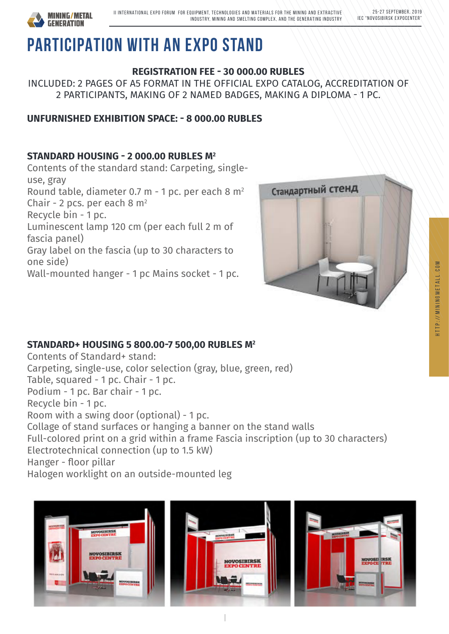

# **PARTICIPATION WITH AN EXPO STAND**

#### **REGISTRATION FEE - 30 000.00 RUBLES**

INCLUDED: 2 PAGES OF A5 FORMAT IN THE OFFICIAL EXPO CATALOG, ACCREDITATION OF 2 PARTICIPANTS, MAKING OF 2 NAMED BADGES, MAKING A DIPLOMA - 1 PC.

**UNFURNISHED EXHIBITION SPACE: - 8 000.00 RUBLES**

#### **STANDARD HOUSING - 2 000.00 RUBLES M2**

Contents of the standard stand: Carpeting, singleuse, gray Round table, diameter 0.7 m - 1 pc. per each 8 m<sup>2</sup> Chair - 2 pcs. per each 8  $m<sup>2</sup>$ Recycle bin - 1 pc. Luminescent lamp 120 cm (per each full 2 m of fascia panel) Gray label on the fascia (up to 30 characters to one side)

Wall-mounted hanger - 1 pc Mains socket - 1 pc.



#### **STANDARD+ HOUSING 5 800.00-7 500,00 RUBLES M2**

Contents of Standard+ stand: Carpeting, single-use, color selection (gray, blue, green, red) Table, squared - 1 pc. Chair - 1 pc. Podium - 1 pc. Bar chair - 1 pc. Recycle bin - 1 pc. Room with a swing door (optional) - 1 pc. Collage of stand surfaces or hanging a banner on the stand walls Full-colored print on a grid within a frame Fascia inscription (up to 30 characters) Electrotechnical connection (up to 1.5 kW) Hanger - floor pillar Halogen worklight on an outside-mounted leg

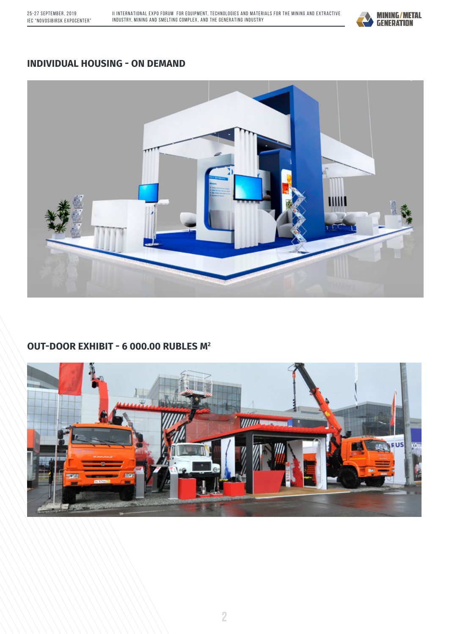

#### **INDIVIDUAL HOUSING - ON DEMAND**



#### **OUT-DOOR EXHIBIT - 6 000.00 RUBLES M2**

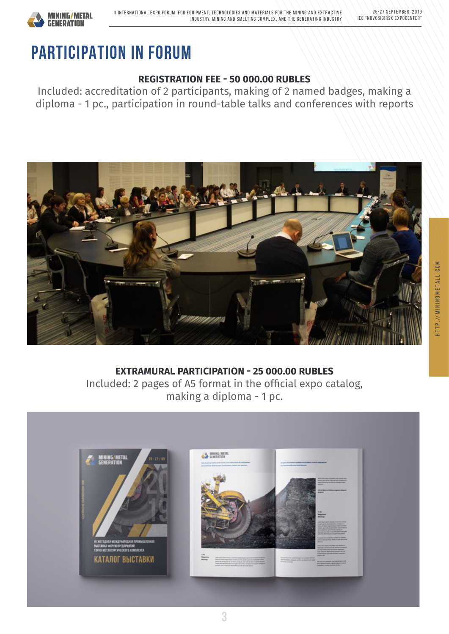

# **PARTICIPATION IN FORUM**

## **REGISTRATION FEE - 50 000.00 RUBLES**

Included: accreditation of 2 participants, making of 2 named badges, making a diploma - 1 pc., participation in round-table talks and conferences with reports



# **EXTRAMURAL PARTICIPATION - 25 000.00 RUBLES**

Included: 2 pages of A5 format in the official expo catalog, making a diploma - 1 pc.

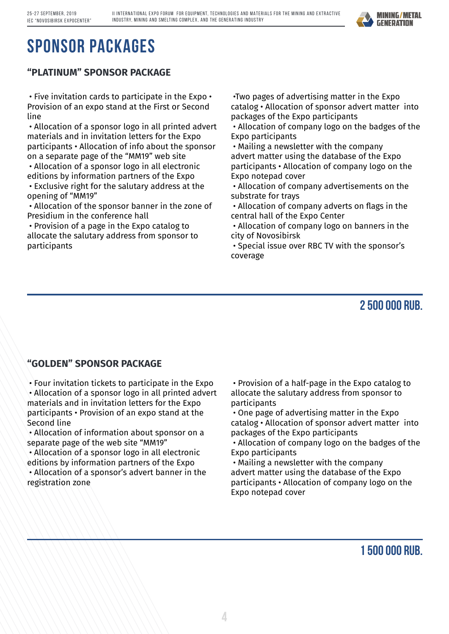

# **SPONSOR PACKAGES**

## **"PLATINUM" SPONSOR PACKAGE**

• Five invitation cards to participate in the Expo • Provision of an expo stand at the First or Second line

• Allocation of a sponsor logo in all printed advert materials and in invitation letters for the Expo participants • Allocation of info about the sponsor on a separate page of the "ММ19" web site

• Allocation of a sponsor logo in all electronic editions by information partners of the Expo • Exclusive right for the salutary address at the opening of "MM19"

• Allocation of the sponsor banner in the zone of Presidium in the conference hall

• Provision of a page in the Expo catalog to allocate the salutary address from sponsor to participants

•Two pages of advertising matter in the Expo catalog • Allocation of sponsor advert matter into packages of the Expo participants

• Allocation of company logo on the badges of the Expo participants

• Mailing a newsletter with the company advert matter using the database of the Expo participants • Allocation of company logo on the Expo notepad cover

• Allocation of company advertisements on the substrate for trays

• Allocation of company adverts on flags in the central hall of the Expo Center

• Allocation of company logo on banners in the city of Novosibirsk

• Special issue over RBC TV with the sponsor's coverage

## **2 500 000 RUB.**

### **"GOLDEN" SPONSOR PACKAGE**

• Four invitation tickets to participate in the Expo

• Allocation of a sponsor logo in all printed advert materials and in invitation letters for the Expo participants • Provision of an expo stand at the Second line

• Allocation of information about sponsor on a separate page of the web site "ММ19"

• Allocation of a sponsor logo in all electronic editions by information partners of the Expo

• Allocation of a sponsor's advert banner in the registration zone

• Provision of a half-page in the Expo catalog to

allocate the salutary address from sponsor to participants

• One page of advertising matter in the Expo catalog • Allocation of sponsor advert matter into packages of the Expo participants

• Allocation of company logo on the badges of the Expo participants

• Mailing a newsletter with the company advert matter using the database of the Expo participants • Allocation of company logo on the Expo notepad cover

## **1 500 000 RUB.**